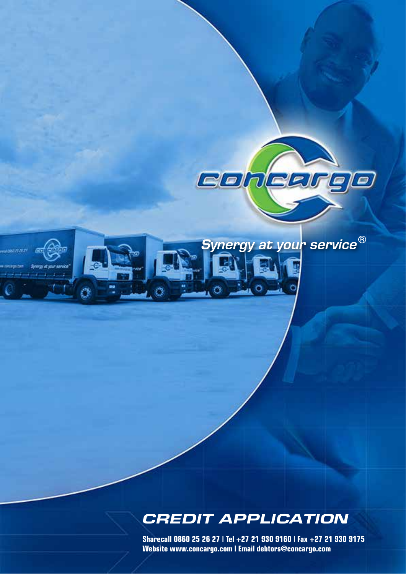

Synergy at your service®

ra it var sevio

# *CREDIT APPLICATION*

**Sharecall 0860 25 26 27 | Tel +27 21 930 9160 | Fax +27 21 930 9175 Website www.concargo.com | Email debtors@concargo.com**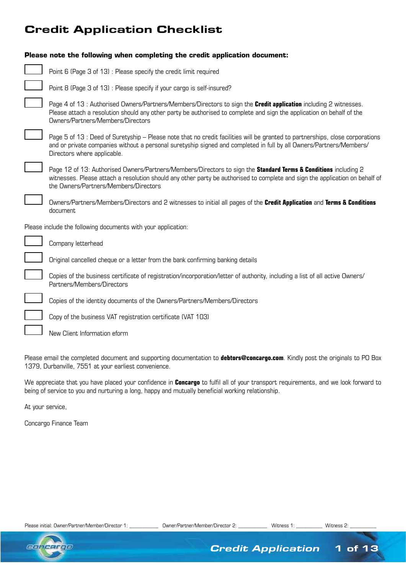# Credit Application Checklist

| Please note the following when completing the credit application document:                                                                                                                                                                                                                          |
|-----------------------------------------------------------------------------------------------------------------------------------------------------------------------------------------------------------------------------------------------------------------------------------------------------|
| Point 6 (Page 3 of 13): Please specify the credit limit required                                                                                                                                                                                                                                    |
| Point 8 (Page 3 of 13): Please specify if your cargo is self-insured?                                                                                                                                                                                                                               |
| Page 4 of 13: Authorised Owners/Partners/Members/Directors to sign the Credit application including 2 witnesses.<br>Please attach a resolution should any other party be authorised to complete and sign the application on behalf of the<br>Owners/Partners/Members/Directors                      |
| Page 5 of 13 : Deed of Suretyship – Please note that no credit facilities will be granted to partnerships, close corporations<br>and or private companies without a personal suretyship signed and completed in full by all Owners/Partners/Members/<br>Directors where applicable.                 |
| Page 12 of 13: Authorised Owners/Partners/Members/Directors to sign the <b>Standard Terms &amp; Conditions</b> including 2<br>witnesses. Please attach a resolution should any other party be authorised to complete and sign the application on behalf of<br>the Owners/Partners/Members/Directors |
| Owners/Partners/Members/Directors and 2 witnesses to initial all pages of the Credit Application and Terms & Conditions<br>document                                                                                                                                                                 |
| Please include the following documents with your application:                                                                                                                                                                                                                                       |
| Company letterhead                                                                                                                                                                                                                                                                                  |
| Original cancelled cheque or a letter from the bank confirming banking details                                                                                                                                                                                                                      |
| Copies of the business certificate of registration/incorporation/letter of authority, including a list of all active Owners/<br>Partners/Members/Directors                                                                                                                                          |
| Copies of the identity documents of the Owners/Partners/Members/Directors                                                                                                                                                                                                                           |
| Copy of the business VAT registration certificate (VAT 103)                                                                                                                                                                                                                                         |
| New Client Information eform                                                                                                                                                                                                                                                                        |

Please email the completed document and supporting documentation to **debtors@concargo.com**. Kindly post the originals to PO Box 1379, Durbanville, 7551 at your earliest convenience.

We appreciate that you have placed your confidence in **Concargo** to fulfil all of your transport requirements, and we look forward to being of service to you and nurturing a long, happy and mutually beneficial working relationship.

At your service,

Concargo Finance Team



*Credit Application* 1 of 13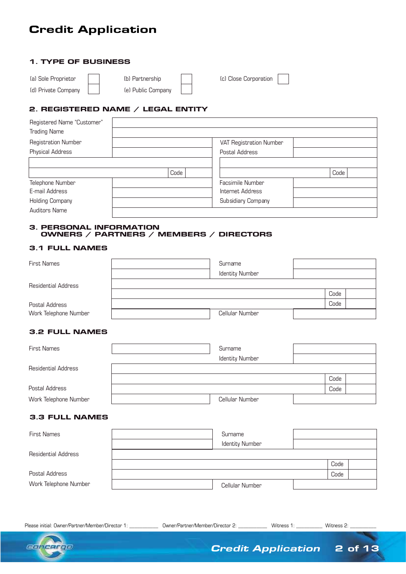# Credit Application

# 1. TYPE OF BUSINESS

| (a) Sole Proprietor | (b) Partnership    | (c) Close Corporation |
|---------------------|--------------------|-----------------------|
| (d) Private Company | (e) Public Company |                       |

# 2. REGISTERED NAME / LEGAL ENTITY

| Registered Name "Customer" |      |                         |      |  |
|----------------------------|------|-------------------------|------|--|
| <b>Trading Name</b>        |      |                         |      |  |
| Registration Number        |      | VAT Registration Number |      |  |
| Physical Address           |      | Postal Address          |      |  |
|                            |      |                         |      |  |
|                            | Code |                         | Code |  |
| Telephone Number           |      | Facsimile Number        |      |  |
| E-mail Address             |      | Internet Address        |      |  |
| <b>Holding Company</b>     |      | Subsidiary Company      |      |  |
| Auditors Name              |      |                         |      |  |

# 3. PERSONAL INFORMATION OWNERS / PARTNERS / MEMBERS / DIRECTORS

# 3.1 FULL NAMES

| <b>First Names</b>         | Surname                |      |  |
|----------------------------|------------------------|------|--|
|                            | <b>Identity Number</b> |      |  |
| <b>Residential Address</b> |                        |      |  |
|                            |                        | Code |  |
| Postal Address             |                        | Code |  |
| Work Telephone Number      | Cellular Number        |      |  |

# 3.2 FULL NAMES

| <b>First Names</b>         | Surname                |      |  |
|----------------------------|------------------------|------|--|
|                            | <b>Identity Number</b> |      |  |
| <b>Residential Address</b> |                        |      |  |
|                            |                        | Code |  |
| Postal Address             |                        | Code |  |
| Work Telephone Number      | Cellular Number        |      |  |

# 3.3 FULL NAMES

| <b>First Names</b>         | Surname                |      |  |
|----------------------------|------------------------|------|--|
|                            | <b>Identity Number</b> |      |  |
| <b>Residential Address</b> |                        |      |  |
|                            |                        | Code |  |
| Postal Address             |                        | Code |  |
| Work Telephone Number      | Cellular Number        |      |  |



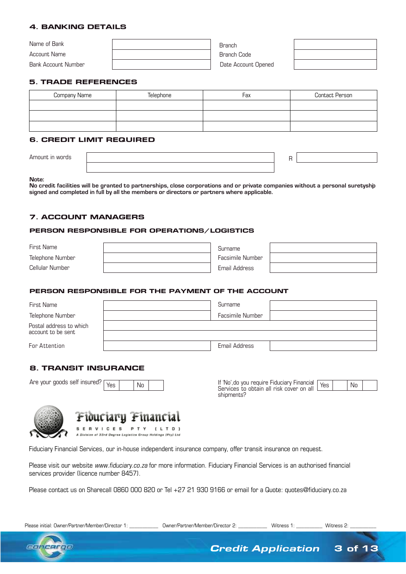# 4. BANKING DETAILS

| Name of Bank        | Branch              |  |
|---------------------|---------------------|--|
| Account Name        | Branch Code         |  |
| Bank Account Number | Date Account Opened |  |

# 5. TRADE REFERENCES

| Company Name | Telephone | Fax | <b>Contact Person</b> |
|--------------|-----------|-----|-----------------------|
|              |           |     |                       |
|              |           |     |                       |
|              |           |     |                       |

# 6. CREDIT LIMIT REQUIRED

#### **Note:**

**No credit facilities will be granted to partnerships, close corporations and or private companies without a personal suretyship signed and completed in full by all the members or directors or partners where applicable.**

# 7. ACCOUNT MANAGERS

#### PERSON RESPONSIBLE FOR OPERATIONS/LOGISTICS

| First Name       | Surname          |  |
|------------------|------------------|--|
| Telephone Number | Facsimile Number |  |
| Cellular Number  | Email Address    |  |

### PERSON RESPONSIBLE FOR THE PAYMENT OF THE ACCOUNT

| First Name                                    | Surname          |
|-----------------------------------------------|------------------|
| Telephone Number                              | Facsimile Number |
| Postal address to which<br>account to be sent |                  |
| For Attention                                 | Email Address    |

# 8. TRANSIT INSURANCE

Are your goods self insured?

Yes No If 'No', do you require Fiduciary Financial Services to obtain all risk cover on all shipments?  $Yes$   $No$ 



Fiduciary Financial **SERVICES** P T Y  $[LTD]$ 

A Division of 33rd Degree Logistics Group Holdings (Pty) Ltd

Fiduciary Financial Services, our in-house independent insurance company, offer transit insurance on request.

Please visit our website www.fiduciary.co.za for more information. Fiduciary Financial Services is an authorised financial services provider (licence number 8457).

Please contact us on Sharecall 0860 000 820 or Tel +27 21 930 9166 or email for a Quote: quotes@fiduciary.co.za



*Credit Application* 3 of 13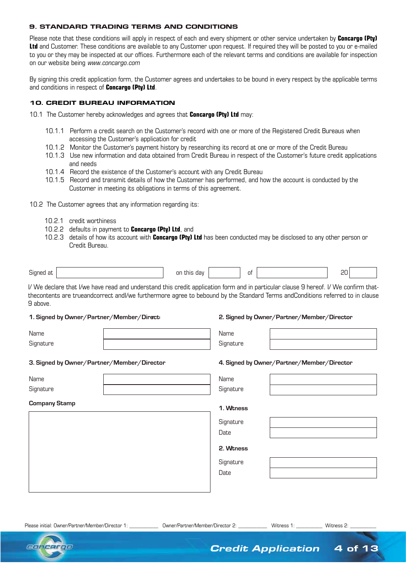# 9. STANDARD TRADING TERMS AND CONDITIONS

Please note that these conditions will apply in respect of each and every shipment or other service undertaken by **Concargo (Pty) Ltd** and Customer. These conditions are available to any Customer upon request. If required they will be posted to you or e-mailed to you or they may be inspected at our offices. Furthermore each of the relevant terms and conditions are available for inspection on our website being www.concargo.com

By signing this credit application form, the Customer agrees and undertakes to be bound in every respect by the applicable terms and conditions in respect of **Concargo (Pty) Ltd**.

# 10. CREDIT BUREAU INFORMATION

10.1 The Customer hereby acknowledges and agrees that **Concargo (Pty) Ltd** may:

- 10.1.1 Perform a credit search on the Customer's record with one or more of the Registered Credit Bureaus when accessing the Customer's application for credit
- 10.1.2 Monitor the Customer's payment history by researching its record at one or more of the Credit Bureau
- 10.1.3 Use new information and data obtained from Credit Bureau in respect of the Customer's future credit applications and needs
- 10.1.4 Record the existence of the Customer's account with any Credit Bureau
- 10.1.5 Record and transmit details of how the Customer has performed, and how the account is conducted by the Customer in meeting its obligations in terms of this agreement.
- 10.2 The Customer agrees that any information regarding its:
	- 10.2.1 credit worthiness
	- 10.2.2 defaults in payment to **Concargo (Pty) Ltd**, and
	- 10.2.3 details of how its account with **Concargo (Pty) Ltd** has been conducted may be disclosed to any other person or Credit Bureau.

| $\sim$<br>Sign <sup>r</sup><br>ור<br>___ | on<br>dav<br>f.his<br>$- \cdot \cdot$ $- \cdot \cdot$<br>__ |  |  | ___ |  |
|------------------------------------------|-------------------------------------------------------------|--|--|-----|--|
|------------------------------------------|-------------------------------------------------------------|--|--|-----|--|

I/ We declare that I/we have read and understand this credit application form and in particular clause 9 hereof. I/ We confirm thatthecontents are trueandcorrect andI/we furthermore agree to bebound by the Standard Terms andConditions referred to in clause 9 above.

#### 1. Signed by Owner/Partner/Member/Direct

#### **1. Signed by Owner/Partner/Member/Director 2. Signed by Owner/Partner/Member/Director**

| Name      | Name      |
|-----------|-----------|
| Signature | Signature |

### **3. Signed by Owner/Partner/Member/Director 4. Signed by Owner/Partner/Member/Director**

| Name                 | Name      |  |
|----------------------|-----------|--|
| Signature            | Signature |  |
| <b>Company Stamp</b> |           |  |
|                      | 1. Wtness |  |
|                      | Signature |  |
|                      | Date      |  |
|                      | 2. Wtness |  |
|                      |           |  |
|                      | Signature |  |

Please initial: Owner/Partner/Member/Director 1: \_\_\_\_\_\_\_\_\_\_\_ Owner/Partner/Member/Director 2: \_\_\_\_\_\_\_\_\_\_\_ Witness 1: \_\_\_\_\_\_\_ Witness 2:

Date



*Credit Application* 4 of 13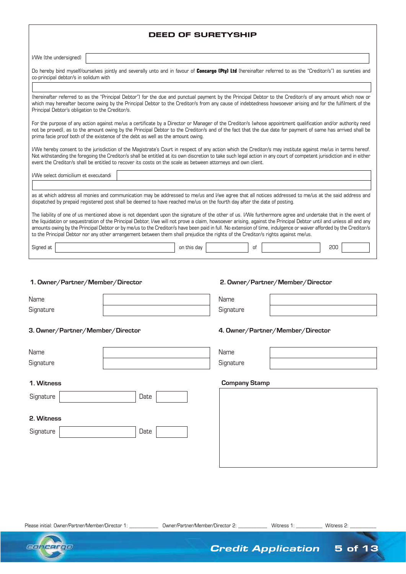| <b>DEED OF SURETYSHIP</b>                                                                                                                                                                                                                                                                                                                                                                                                                                                                                                                                                                                                                     |  |  |  |  |
|-----------------------------------------------------------------------------------------------------------------------------------------------------------------------------------------------------------------------------------------------------------------------------------------------------------------------------------------------------------------------------------------------------------------------------------------------------------------------------------------------------------------------------------------------------------------------------------------------------------------------------------------------|--|--|--|--|
| I/We (the undersigned)                                                                                                                                                                                                                                                                                                                                                                                                                                                                                                                                                                                                                        |  |  |  |  |
| Do hereby bind myself/ourselves jointly and severally unto and in favour of Concargo (Pty) Ltd (hereinafter referred to as the "Creditor/s") as sureties and<br>co-principal debtor/s in solidum with                                                                                                                                                                                                                                                                                                                                                                                                                                         |  |  |  |  |
| (hereinafter referred to as the "Principal Debtor") for the due and punctual payment by the Principal Debtor to the Creditor/s of any amount which now or                                                                                                                                                                                                                                                                                                                                                                                                                                                                                     |  |  |  |  |
| which may hereafter become owing by the Principal Debtor to the Creditor/s from any cause of indebtedness howsoever arising and for the fulfilment of the<br>Principal Debtor's obligation to the Creditor/s.                                                                                                                                                                                                                                                                                                                                                                                                                                 |  |  |  |  |
| For the purpose of any action against me/us a certificate by a Director or Manager of the Creditor/s (whose appointment qualification and/or authority need<br>not be proved), as to the amount owing by the Principal Debtor to the Creditor/s and of the fact that the due date for payment of same has arrived shall be<br>prima facie proof both of the existence of the debt as well as the amount owing.                                                                                                                                                                                                                                |  |  |  |  |
| I/We hereby consent to the jurisdiction of the Magistrate's Court in respect of any action which the Creditor/s may institute against me/us in terms hereof.<br>Not withstanding the foregoing the Creditor/s shall be entitled at its own discretion to take such legal action in any court of competent jurisdiction and in either<br>event the Creditor/s shall be entitled to recover its costs on the scale as between attorneys and own client.                                                                                                                                                                                         |  |  |  |  |
| I/We select domicilium et executandi                                                                                                                                                                                                                                                                                                                                                                                                                                                                                                                                                                                                          |  |  |  |  |
| as at which address all monies and communication may be addressed to me/us and I/we agree that all notices addressed to me/us at the said address and<br>dispatched by prepaid registered post shall be deemed to have reached me/us on the fourth day after the date of posting.                                                                                                                                                                                                                                                                                                                                                             |  |  |  |  |
| The liability of one of us mentioned above is not dependant upon the signature of the other of us. I/We furthermore agree and undertake that in the event of<br>the liquidation or sequestration of the Principal Debtor, I/we will not prove a claim, howsoever arising, against the Principal Debtor until and unless all and any<br>amounts owing by the Principal Debtor or by me/us to the Creditor/s have been paid in full. No extension of time, indulgence or waiver afforded by the Creditor/s<br>to the Principal Debtor nor any other arrangement between them shall prejudice the rights of the Creditor/s rights against me/us. |  |  |  |  |
| Signed at<br>200<br>on this day<br>0f                                                                                                                                                                                                                                                                                                                                                                                                                                                                                                                                                                                                         |  |  |  |  |
|                                                                                                                                                                                                                                                                                                                                                                                                                                                                                                                                                                                                                                               |  |  |  |  |
| 1. Owner/Partner/Member/Director<br>2. Owner/Partner/Member/Director                                                                                                                                                                                                                                                                                                                                                                                                                                                                                                                                                                          |  |  |  |  |
| Name<br>Name                                                                                                                                                                                                                                                                                                                                                                                                                                                                                                                                                                                                                                  |  |  |  |  |

**3. Owner/Partner/Member/Director 4. Owner/Partner/Member/Director**

| Name      | Name      |
|-----------|-----------|
| Signature | Signature |

Date

# **1. Witness**

**Signature** 

| Signature | Jate |  |
|-----------|------|--|
|           |      |  |

# **2. Witness**

| Signature |  |
|-----------|--|
|-----------|--|

| e |  |
|---|--|
|   |  |

# **Company Stamp**

**Signature** 

Please initial: Owner/Partner/Member/Director 1: \_\_\_\_\_\_\_\_\_\_\_\_\_\_\_ Owner/Partner/Member/Director 2: \_\_\_\_\_\_\_\_\_\_\_\_ Witness 1: \_\_\_\_\_\_\_\_\_\_\_\_ Witness 2: \_



*Credit Application* 5 of 13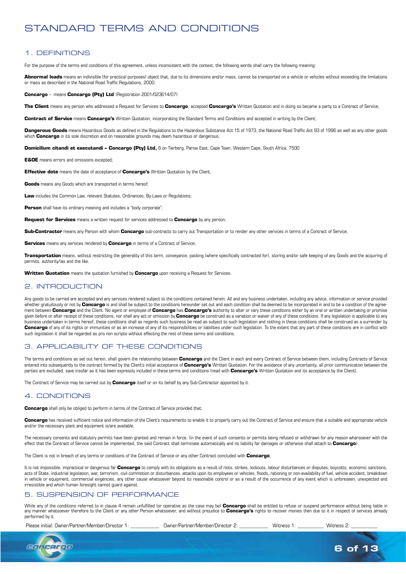# STANDARD TERMS AND CONDITIONS

# 1. DEFINITIONS

For the purpose of the terms end conditions of this agreement, unless inconsistent with the context, the following words shall carry the following meaning:

**Abnormal loads** means an indivisible [for practical purposes] object that, due to its dimensions and/or mass, cannot ba transported on a vehicle or vehicles without exceeding the limitations or mass as described in the National Road Traffic Regulations, 2000:

**Concargo** – means **Concargo (Pty) Ltd** (Registration 2001/023614/07)

**The Client** means any person who addressed a Request for Services to **Concargo**, accepted **Concargo's** Written Quotation and in doing so became a party to a Contract of Service;

**Contract of Service** means **Concargo's** Written Quotation, incorporating the Standard Terms and Conditions and accepted in writing by the Client;

Dangerous Goods means Hazardous Goods as defined in the Regulations to the Hazardous Substance Act 15 of 1973, the National Road Traffic Act 93 of 1996 as well as any other goods which **Concargo** in its sole discretion and on reasonable grounds may deem hazardous or dangerous;

**Domicilium citandi et executandi – Concargo (Pty) Ltd,** 6 on Tierberg, Parow East, Cape Town, Western Cape, South Africa, 7500

**E&OE** means errors and omissions excepted;

**Effective dote** means the date of acceptance of **Concargo's** Written Quotation by the Client;

**Goods** means any Goods which are transported in terms hereof;

**Law** includes the Common Law, relevant Statutes, Ordinances, By-Laws or Regulations;

**Person** shall have its ordinary meaning and includes a "body corporate":

**Request for Services** means a written request for services addressed to **Concargo** by any person;

**Sub-Contractor** means any Parson with whom **Concargo** sub-contracts to carry out Transportation or to render any other services in terms of a Contract of Service;

**Services** means any services rendered by **Concargo** in terms of a Contract of Service:

Transportation means, without restricting the generality of this term, conveyance, packing (where specifically contracted for), storing and/or safe keeping of any Goods and the acquiring of permits, authority/ias and the like.

**Written Quotation** means the quotation furnished by **Concargo** upon receiving a Request for Services.

#### 2. INTRODUCTION

Any goods to be carried are accepted and any services rendered subject to the conditions contained herein. All and any business undertaken, including any advice, information or service provided whether gratuitously or not by **Concargo** is and shall be subject to the conditions hereunder set out and each condition shall ba deemed to be incorporated in and to be a condition of the agreement between **Concargo** and the Client. No agent or employee of **Concargo** has **Concargo's** authority to alter or vary these conditions either by an oral or written undertaking or promise given before or after receipt of these conditions, nor shall any act or omission by **Concargo** be construed as a variation or waiver of any of these conditions. If any legislation is applicable to any business undertaken in terms hereof, these conditions shall as regards such business be read as subject to such legislation and nothing in these conditions shall be construed as a surrender by Concargo of any of its rights or immunities or as an increase of any of its responsibilities or liabilities under such legislation. To the extent that any part of these conditions are in conflict with such legislation it shall be regarded as pro non scripto without effecting the rest of these terms and conditions.

#### 3. APPLICABILITY OF THESE CONDITIONS

The terms and conditions as set out herein, shall govern the relationship between Concargo and the Client in each and every Contract of Service between them, including Contracts of Service entered into subsequently to the contract formed by the Client's initial acceptance of **Concargo's** Written Quotation. For the avoidance of any uncertainty, all prior communication between the parties are excluded, save insofar as it has been expressly included in these terms and conditions (read with **Concargo's** Written Quotation and its acceptance by the Client).

The Contract of Service may be carried out by **Concargo** itself or on its behalf by any Sub-Contractor appointed by it.

#### 4. CONDITIONS

**Concargo** shall only be obliged to perform in terms of the Contract of Service provided that:

Concargo has received sufficient notice and information of the Client's requirements to enable it to properly carry out the Contract of Service and ensure that a suitable and appropriate vehicle and/or the necessary plant and equipment is/are available.

The necessary consents and statutory permits have been granted and remain in force. (in the event of such consents or permits being refused or withdrawn for any reason wharsoever with the effect that the Contract of Service cannot be implemented, the said Contract shall terminate automatically and no liability far damages or otherwise shall attach to **Concargo**).

The Client is not in breach of any terms or conditions of the Contract of Service or any other Contract concluded with **Concargo**.

It is not impossible, impractical or dangerous far **Concargo** to comply with its obligations as a result of riots, strikes, lockouts, labour disturbances or disputes, boycotts, economic sanctions, acts of State, industrial legislation, war, terrorism, civil commotion or disturbances, attacks upon its employees or vehicles, floods, rationing or non-availability of fuel, vehicle accident, breakdown in vehicle or equipment, commercial exigencies, any other cause whatsoever beyond its reasonable control or as a result of the occurrence of any event which is unforeseen, unexpected and irresistible and which human foresight cannot guard against.

#### 5. SUSPENSION OF PERFORMANCE

While any of the conditions referred to in clause 4 remain unfulfilled (or operative as the case may be) **Concargo** shall be entitled to refuse or suspend performance without being liable in any manner whatsoever therefore to the Client or any other Person whatsoever, and without prejudice to **Concargo's** rights to recover monies then due to it in respect of services already performed by it.

Please initial: Owner/Partner/Member/Director 1: \_\_\_\_\_\_\_\_\_\_\_\_\_\_ Owner/Partner/Member/Director 2: \_\_\_\_\_\_\_\_\_\_\_\_ Witness 1: \_\_\_\_\_\_\_\_\_\_ Witness 2:



6 of 13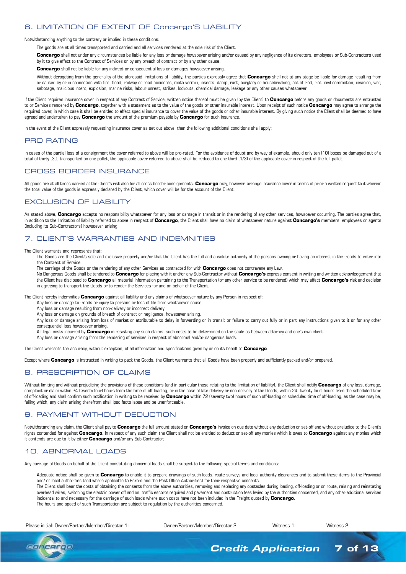# 6. LIMITATION OF EXTENT OF Concargo'S LIABILITY

#### Notwithstanding anything to the contrary or implied in these conditions:

The goods are at all times transported and carried and all services rendered at the sole risk of the Client.

**Concargo** shall not under any circumstances be liable for any loss or damage howsoever arising and/or caused by any negligence of its directors, employees or Sub-Contractors used by it to give effect to the Contract of Services or by any breach of contract or by any other cause

**Concargo** shall not be liable for any indirect or consequential loss or damages howsoever arising.

Without derogating from the generality of the aforesaid limitations of liability, the parties expressly agree that **Concargo** shell not at any stage be liable for damage resulting from or caused by or in connection with fire, flood, railway or road accidents, moth vermin, insects, damp, rust, burglary or housebreaking, act of God, riot, civil commotion, invasion, war, sabotage, malicious intent, explosion, marine risks, labour unrest, strikes, lockouts, chemical damage, leakage or any other causes whatsoever.

If the Client requires insurance cover in respect of any Contract of Service, written notice thereof must be given (by the Client) to **Concargo** before any goods or documents are entrusted to or Services rendered by **Concargo**, together with a statement as to the value of the goods or other insurable interest. Upon receipt of such notice **Concargo** may agree to arrange the required cover, in which case it shall be entitled to effect special insurance to cover the value of the goods or other insurable interest. By giving such notice the Client shall be deemed to have agreed and undertaken to pay **Concargo** the amount of the premium payable by **Concargo** for such insurance.

In the event of the Client expressly requesting insurance cover as set out above, then the following additional conditions shall apply:

#### PRO RATING

In cases of the partial loss of a consignment the cover referred to above will be pro-rated. For the avoidance of doubt and by way of example, should only ten (10) boxes be damaged out of a total of thirty (30) transported on one pallet, the applicable cover referred to above shall be reduced to one third (1/3) of the applicable cover in respect of the full pallet.

# CROSS BORDER INSURANCE

All goods are at all times carried at the Client's risk also for all cross border consignments. **Concargo** may, however, arrange insurance cover in terms of prior a written request to it wherein the total value of the goods is expressly declared by the Client, which cover will be for the account of the Client.

# EXCLUSION OF LIABILITY

As stated above, **Concargo** accepts no responsibility whatsoever for any loss or damage in transit or in the rendering of any other services, howsoever occurring. The parties agree that, in addition to the limitation of liability referred to above in respect of **Concargo**, the Client shall have no claim of whatsoever nature against **Concargo's** members, employees or agents (including its Sub-Contractors) howsoever arising.

#### 7. CLIENT'S WARRANTIES AND INDEMNITIES

The Client warrants and represents that:

The Goods are the Client's sole and exclusive property and/or that the Client has the full and absolute authority of the persons owning or having an interest in the Goods to enter into the Contract of Service.

The carriage of the Goods or the rendering of any other Services as contracted for with **Concargo** does not contravene any Law.

No Dangerous Goods shall be tendered to **Concargo** for placing with it and/or any Sub-Contractor without **Concargo's** express consent in writing and written acknowledgement that the Client has disclosed to **Concargo** all material information pertaining to the Transportation (or any other service to be rendered) which may affect **Concargo's** risk and decision in agreeing to transport the Goods or to render the Services for and on behalf of the Client.

The Client hereby indemnifies **Concargo** against all liability and any claims of whatsoever nature by any Person in respect of:

Any loss or damage to Goods or injury to persons or loss of life from whatsoever cause.

Any loss or damage resulting from non-delivery or incorrect delivery.

Any loss or damage on grounds of breach of contract or negligence, howsoever arising.

Any loss or damage arising from loss of market or attributable to delay in forwarding or in transit or failure to carry out fully or in part any instructions given to it or for any other consequential loss howsoever arising.

All legal costs incurred by **Concargo** in resisting any such claims, such costs to be determined on the scale as between attorney and one's own client.

Any loss or damage arising from the rendering of services in respect of abnormal and/or dangerous loads.

The Client warrants the accuracy, without exception, of all information and specifications given by or on its behalf to **Concargo**.

Except where **Concargo** is instructed in writing to pack the Goods, the Client warrants that all Goods have been properly and sufficiently packed and/or prepared.

#### 8. PRESCRIPTION OF CLAIMS

Without limiting and without prejudicing the provisions of these conditions (and in particular those relating to the limitation of liability), the Client shall notify **Concargo** of any loss, damage, complaint or claim within 24 (twenty four) hours from the time of off-loading, or in the case of late delivery or non-delivery of the Goods, within 24 (twenty four) hours from the scheduled time of off-loading and shall confirm such notification in writing to be received by **Concargo** within 72 (seventy two) hours of such off-loading or scheduled time of off-loading, as the case may be, failing which, any claim arising therefrom shall ipso facto lapse and be unenforceable.

#### 9. PAYMENT WITHOUT DEDUCTION

Notwithstanding any claim, the Client shall pay to **Concargo** the full amount stated on **Concargo's** invoice on due date without any deduction or set-off and without prejudice to the Client's rights contended for against **Concargo**. In respect of any such claim the Client shall not be entitled to deduct or set-off any monies which it owes to **Concargo** against any monies which it contends are due to it by either **Concargo** and/or any Sub-Contractor.

# 10. ABNORMAL LOADS

Any carriage of Goods on behalf of the Client constituting abnormal loads shall be subject to the following special terms and conditions:

Adequate notice shall be given to **Concargo** to enable it to prepare drawings of such loads, route surveys and local authority clearances and to submit these items to the Provincial and/ or local authorities (and where applicable to Eskom and the Post Office Authorities) for their respective consents.

The Client shall bear the costs of obtaining the consents from the above authorities, removing and replacing any obstacles during loading, off-loading or on route, raising and reinstating overhead wires, switching the electric power off and on, traffic escorts required and pavement and obstruction fees levied by the authorities concerned, and any other additional services incidental to and necessary for the carriage of such loads where such costs have not been included in the Freight quoted by **Concargo**. The hours and speed of such Transportation are subject to regulation by the authorities concerned.

Please initial: Owner/Partner/Member/Director 1: \_\_\_\_\_\_\_\_\_\_\_\_\_\_ Owner/Partner/Member/Director 2: \_\_\_\_\_\_\_\_\_\_\_ Witness 1: \_\_\_\_\_\_\_\_\_\_ Witness 2: \_

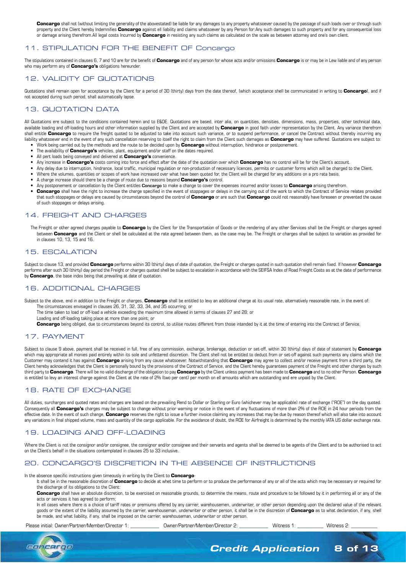**Concargo** shall not (without limiting the generality of the abovestated) be liable for any damages to any property whatsoever caused by the passage of such loads over or through such property and the Client hereby Indemnifies **Concargo** against ell liability and claims whatsoever by any Person for:Any such damages to such property and for any consequential loss or damage arising therefrom.All legal costs Incurred by **Concargo** in resisting any such claims as calculated on the scale as between attorney and one's own client.

### 11. STIPULATION FOR THE BENEFIT OF Concargo

The stipulations contained in clauses 6, 7 and 10 are for the benefit of **Concargo** and of any person for whose acts and/or omissions **Concargo** is or may be in Lew liable and of any person who may perform any of **Concargo's** obligations hereunder.

# 12. VALIDITY OF QUOTATIONS

Quotations shell remain open for acceptance by the Client for a period of 30 (thirty) days from the date thereof, (which acceptance shell be communicated in writing to **Concargo**), and if not accepted during such period, shall automatically lapse.

# 13. QUOTATION DATA

All Quotations ere subject to the conditions contained herein and to E&OE. Quotations are based, inter alia, on quantities, densities, dimensions, mass, properties, other technical data, available loading and off-loading hours and other information supplied by the Client and are accepted by **Concargo** in good faith under representation by the Client. Any variance therefrom shall entitle **Concargo** to require the freight quoted to be adjusted to take into account such variance, or to suspend performance, or cancel the Contract without thereby incurring any liability whatsoever end in the event of any such cancellation reserving to itself the right to claim from the Client such damages as **Concargo** may have suffered. Quotations ere subject to:

- Work being carried out by the methods and the route to be decided upon by **Concargo** without interruption, hindrance or postponement.
- The availability of **Concargo's** vehicles, plant, equipment and/or staff on the dates required.
- All pert loads being conveyed and delivered at **Concargo's** convenience.
- Any increase in **Concargo's** costs coming into force and effect after the date of the quotation over which **Concargo** has no control will be for the Client's account.
- Any delay due to interruption, hindrance, local traffic, municipal regulation or non-production of necessary licences, permits or customer forms which will be charged to the Client.
- Where the volumes, quantities or scopes of work have increased over what have been quoted for, the Client will be charged for any additions on a pro rata basis.
- A charge increase should there be a change of route due to reasons beyond **Concargo's** control.
- Any postponement or cancellation by the Client entitles **Concargo** to make a change to cover the expenses incurred and/or losses to **Concargo** arising therefrom.
- **Concargo** shall have the right to increase the charge specified in the event of stoppages or delays in the carrying out of the work to which the Contract of Service relates provided that such stoppages or delays are caused by circumstances beyond the control of **Concargo** or are such that **Concargo** could not reasonably have foreseen or prevented the cause of such stoppages or delays arising.

# 14. FREIGHT AND CHARGES

The Freight or other agreed charges payable to **Concargo** by the Client for the Transportation of Goods or the rendering of any other Services shall be the Freight or charges agreed between **Concargo** and the Client or shell be calculated at the rate agreed between them, as the case may be. The Freight or charges shall be subject to variation as provided for in clauses 10, 13, 15 and 16.

#### 15. ESCALATION

Subject to clause 13, and provided **Concargo** performs within 30 (thirty) days of date of quotation, the Freight or charges quoted in such quotation shell remain fixed. If however **Concargo** performs after such 30 (thirty) day period the Freight or charges quoted shell be subject to escalation in accordance with the SEIFSA Index of Road Freight Costs as at the date of performance by **Concargo**, the base index being that prevailing at date of quotation.

#### 16. ADDITIONAL CHARGES

Subject to the above, end in addition to the Freight or charges, **Concargo** shall be entitled to levy an additional charge at its usual rate, alternatively reasonable rate, in the event of: The circumstances envisaged in clauses 26, 31, 32, 33, 34, and 35 occurring; or

The time taken to load or off-load a vehicle exceeding the maximum time allowed in terms of clauses 27 and 28; or

Loading and off-loading taking place at more than one point; or

**Concargo** being obliged, due to circumstances beyond its control, to utilise routes different from those intended by it at the time of entering into the Contract of Service.

#### 17. PAYMENT

Subject to clause 9 above, payment shall be received in full, free of any commission, exchange, brokerage, deduction or set-off, within 30 (thirty) days of date of statement by **Concargo** which may appropriate all monies paid entirely within its sole and unfettered discretion. The Client shell not be entitled to deduct from or set-off against such payments any claims which the Customer may contend it has against **Concargo** arising from any cause whatsoever. Notwithstanding that **Concargo** may agree to collect and/or receive payment from a third party, the Client hereby acknowledges that the Client is personally bound by the provisions of the Contract of Service, and the Client hereby guarantees payment of the Freight end other charges by such third party to **Concargo**. There will be no valid discharge of the obligation to pay **Concargo** by the Client unless payment has been made to **Concargo** and to no other Person. **Concargo** is entitled to levy an interest charge against the Client at the rate of 2% (two per cent) per month on ell amounts which are outstanding and ere unpaid by the Client.

#### 18. RATE OF EXCHANGE

All duties, surcharges and quoted rates and charges are based on the prevailing Rend to Dollar or Sterling or Euro (whichever may be applicable) rate of exchange ("ROE") on the day quoted. Consequently all **Concargo's** charges may be subject to change without prior warning or notice in the event of any fluctuations of more than 2% of the ROE in 24 hour periods from the effective date. In the event of such change, **Concargo** reserves the right to issue a further invoice claiming any increases that may be due by reason thereof which will also take into account any variations in final shipped volume, mass and quantity of the cargo applicable. For the avoidance of doubt, the ROE for Airfreight is determined by the monthly IATA US dollar exchange rate.

#### 19. LOADING AND OFF-LOADING

Where the Client is not the consignor and/or consignee, the consignor and/or consignee and their servants and agents shall be deemed to be agents of the Client and to be authorised to act on the Client's behalf in the situations contemplated in clauses 25 to 33 inclusive.

#### 20. CONCARGO'S DISCRETION IN THE ABSENCE OF INSTRUCTIONS

#### In the absence specific instructions given timeously in writing by the Client to **Concargo**-

It shall be in the reasonable discretion of **Concargo** to decide at whet time to perform or to produce the performance of any or all of the acts which may be necessary or required for the discharge of its obligations to the Client:

**Concargo** shall have an absolute discretion, to be exercised on reasonable grounds, to determine the means, route and procedure to be followed by it in performing all or any of the acts or services it has agreed to perform;

In ell cases where there is a choice of tariff rates or premiums offered by any carrier, warehousemen, underwriter, or other person depending upon the declared value of the relevant goods or the extent of the liability assumed by the carrier, warehouseman, underwriter or other person, it shall be in the discretion of **Concargo** as to what declaration, if any, shell be made, and what liability, if any, shall be imposed on the carrier, warehouseman, underwriter or other person.

Please initial: Owner/Partner/Member/Director 1: \_\_\_\_\_\_\_\_\_\_\_\_\_\_ Owner/Partner/Member/Director 2: \_\_\_\_\_\_\_\_\_\_\_ Witness 1: \_\_\_\_\_\_\_\_\_\_ Witness 2: \_



*Credit Application* 8 of 13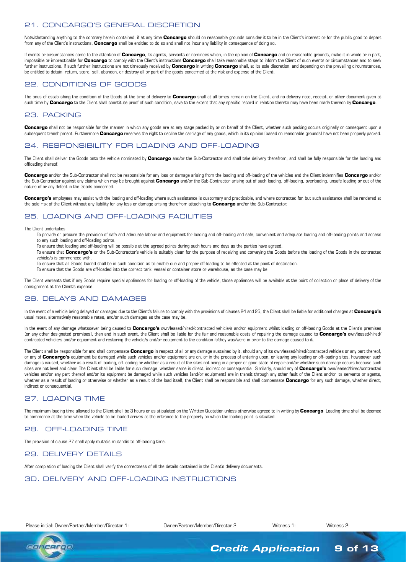# 21. CONCARGO'S GENERAL DISCRETION

Notwithstanding anything to the contrary herein contained, if at any time **Concargo** should on reasonable grounds consider it to be in the Client's interest or for the public good to depart from any of the Client's instructions, **Concargo** shall be entitled to do so and shall not incur any liability in consequence of doing so.

If events or circumstances come to the attention of **Concargo**, its agents, servants or nominees which, in the opinion of **Concargo** and on reasonable grounds, make it in whole or in part, impossible or impracticable for **Concargo** to comply with the Client's instructions **Concargo** shall take reasonable steps to inform the Client of such events or circumstances and to seek further instructions. If such further instructions are not timeously received by **Concargo** in writing **Concargo** shall, at its sole discretion, and depending on the prevailing circumstances, be entitled to detain, return, store, sell, abandon, or destroy all or part of the goods concerned at the risk and expense of the Client.

# 22. CONDITIONS OF GOODS

The onus of establishing the condition of the Goods at the time of delivery to **Concargo** shall at all times remain on the Client, and no delivery note, receipt, or other document given at such time by **Concargo** to the Client shall constitute proof of such condition, save to the extent that any specific record in relation thereto may have been made thereon by **Concargo**.

### 23. PACKING

**Concargo** shall not be responsible for the manner in which any goods are at any stage packed by or on behalf of the Client, whether such packing occurs originally or consequent upon a subsequent transhipment. Furthermore **Concargo** reserves the right to decline the carriage of any goods, which in its opinion [based on reasonable grounds] have not been properly packed.

# 24. RESPONSIBILITY FOR LOADING AND OFF-LOADING

The Client shall deliver the Goods onto the vehicle nominated by **Concargo** and/or the Sub-Contractor and shall take delivery therefrom, and shall be fully responsible for the loading and offloading thereof.

**Concargo** and/or the Sub-Contractor shall not be responsible for any loss or damage arising from the loading and off-loading of the vehicles and the Client indemnifies **Concargo** and/or the Sub-Contractor against any claims which may be brought against **Concargo** and/or the Sub-Contractor arising out of such loading, off-loading, overloading, unsafe loading or out of the nature of or any defect in the Goods concerned.

Concargo's employees may assist with the loading and off-loading where such assistance is customary and practicable, and where contracted for, but such assistance shall be rendered at the sole risk of the Client without any liability for any loss or damage arising therefrom attaching to **Concargo** and/or the Sub-Contractor.

# 25. LOADING AND OFF-LOADING FACILITIES

The Client undertakes:

- To provide or procure the provision of safe and adequate labour and equipment for loading and off-loading and safe, convenient and adequate loading and off-loading points and access to any such loading and off-loading points.
- To ensure that loading and off-loading will be possible at the agreed points during such hours and days as the parties have agreed.
- To ensure that **Concargo's** or the Sub-Contractor's vehicle is suitably clean for the purpose of receiving and conveying the Goods before the loading of the Goods in the contracted vehicle/s is commenced with.
- To ensure that all Goods loaded shall be in such condition as to enable due and proper off-loading to be effected at the point of destination.
- To ensure that the Goods are off-loaded into the correct tank, vessel or container store or warehouse, as the case may be.

The Client warrants that if any Goods require special appliances for loading or off-loading of the vehicle, those appliances will be available at the point of collection or place of delivery of the consignment at the Client's expense.

# 26. DELAYS AND DAMAGES

In the event of a vehicle being delayed or damaged due to the Client's failure to comply with the provisions of clauses 24 and 25, the Client shall be liable for additional charges at **Concargo's** usual rates, alternatively reasonable rates, and/or such damages as the case may be.

In the event of any damage whatsoever being caused to **Concargo's** own/leased/hired/contracted vehicle/s and/or equipment whilst loading or off-loading Goods at the Client's premises (or any other designated premises], then and in such event, the Client shall be liable for the fair and reasonable costs of repairing the damage caused to **Concargo's** own/leased/hired/ contracted vehicle/s and/or equipment and restoring the vehicle/s and/or equipment to the condition it/they was/were in prior to the damage caused to it.

The Client shall be responsible for and shall compensate **Concargo** in respect of all or any damage sustained by it, should any of its own/leased/hired/contracted vehicles or any part thereof, or any of Concargo's equipment be damaged while such vehicles and/or equipment are on, or in the process of entering upon, or leaving any loading or off-loading sites, howsoever such damage is caused, whether as a result of loading, off-loading or whether as a result of the sites not being in a proper or good state of repair and/or whether such damage occurs because such sites are not level and clear. The Client shall be liable for such damage, whether same is direct, indirect or consequential. Similarly, should any of **Concargo's** own/leased/hired/contracted vehicles and/or any part thereof and/or its equipment be damaged while such vehicles [and/or equipment] are in transit through any other fault of the Client and/or its servants or agents, whether as a result of loading or otherwise or whether as a result of the load itself, the Client shall be responsible and shall compensate **Concargo** for any such damage, whether direct, indirect or consequential.

# 27. LOADING TIME

The maximum loading time allowed to the Client shall be 3 hours or as stipulated on the Written Quotation unless otherwise agreed to in writing by **Concargo**. Loading time shall be deemed to commence at the time when the vehicle to be loaded arrives at the entrance to the property on which the loading point is situated.

# 28. OFF-LOADING TIME

The provision of clause 27 shall apply mutatis mutandis to off-loading time.

#### 29. DELIVERY DETAILS

After completion of loading the Client shall verify the correctness of all the details contained in the Client's delivery documents.

# 3D. DELIVERY AND OFF-LOADING INSTRUCTIONS

```
Please initial: Owner/Partner/Member/Director 1: _____________ Owner/Partner/Member/Director 2: ___________ Witness 1: __________ Witness 2:
```


*Credit Application* 9 of 13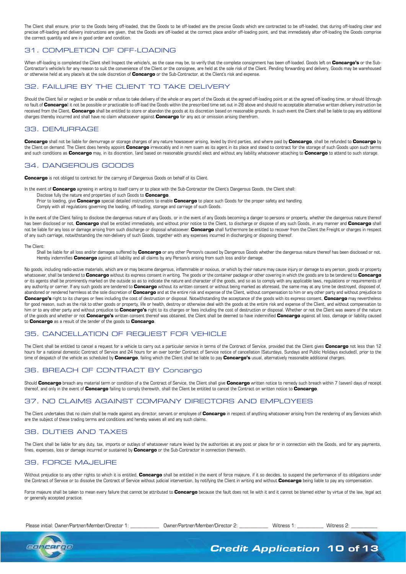The Client shall ensure, prior to the Goods being off-loaded, that the Goods to be off-loaded are the precise Goods which are contracted to be off-loaded, that during off-loading clear and precise off-loading and delivery instructions are given, that the Goods are off-loaded at the correct place and/or off-loading point, and that immediately after off-loading the Goods comprise the correct quantity and are in good order and condition.

### 31. COMPLETION OF OFF-LOADING

When off-loading is completed the Client shell Inspect the vehicle/s, as the case may be, to verify that the complete consignment has been off-loaded. Goods left on **Concargo's** or the Sub-Contractor's vehicle/s for any reason to suit the convenience of the Client or the consignee, are held at the sole risk of the Client. Pending forwarding and delivery, Goods may be warehoused or otherwise held at any place/s at the sole discretion of **Concargo** or the Sub-Contractor, at the Client's risk and expense.

#### 32. FAILURE BY THE CLIENT TO TAKE DELIVERY

Should the Client fail or neglect or be unable or refuse to take delivery of the whole or any part of the Goods at the agreed off-loading point or at the agreed off-loading time, or should (through no fault of **Concargo**] it not be possible or practicable to off-load the Goods within the prescribed time set out in 28 above and should no acceptable alternative written delivery instruction be received from the Client, **Concargo** shall be entitled to store or abandon the goods at its discretion based on reasonable grounds. In such event the Client shall be liable to pay any additional charges thereby incurred and shall have no claim whatsoever against **Concargo** for any act or omission arising therefrom.

#### 33. DEMURRAGE

**Concargo** shall not be liable for demurrage or storage charges of any nature howsoever arising, levied by third parties, and where paid by **Concargo**, shall be refunded to **Concargo** by the Client on demand. The Client does hereby appoint **Concargo** irrevocably and in rem suam as its agent in its place and stead to contract for the storage of such Goods upon such terms and such conditions as **Concargo** may, in its discretion, (and based on reasonable grounds] elect and without any liability whatsoever attaching to **Concargo** to attend to such storage.

### 34. DANGEROUS GOODS

**Concargo** is not obliged to contract for the carrying of Dangerous Goods on behalf of its Client.

- In the event of **Concargo** agreeing in writing to itself carry or to place with the Sub-Contractor the Client's Dangerous Goods, the Client shall:
	- Disclose fully the nature end properties of such Goods to **Concargo**.
	- Prior to loading, give **Concargo** special detailed instructions to enable **Concargo** to place such Goods for the proper safety and handling. Comply with all regulations governing the loading, off-loading, storage and carriage of such Goods.

In the event of the Client failing to disclose the dangerous nature of any Goods, or in the event of any Goods becoming a danger to persons or property, whether the dangerous nature thereof has been disclosed or not, **Concargo** shall be entitled immediately, and without prior notice to the Client, to discharge or dispose of any such Goods, in any manner and **Concargo** shall not be liable for any loss or damage arising from such discharge or disposal whatsoever. **Concargo** shall furthermore be entitled to recover from the Client the Freight or charges in respect of any such carriage, notwithstanding the non-delivery of such Goods, together with any expenses incurred in discharging or disposing thereof.

The Client:

Shall be liable for all loss and/or damages suffered by **Concargo** or any other Person/s caused by Dangerous Goods whether the dangerous nature thereof has been disclosed or not. Hereby indemnifies **Concargo** against all liability and all claims by any Person/s arising from such loss and/or damage.

No goods, including radio-active materials, which are or may become dangerous, inflammable or noxious, or which by their nature may cause injury or damage to any person, goods or property whatsoever, shall be tendered to **Concargo** without its express consent in writing. The goods or the container package or other covering in which the goods are to be tendered to **Concargo** or its agents shall be prominently marked on the outside so as to indicate the nature and character of the goods, and so as to comply with any applicable laws, regulations or requirements of any authority or carrier. If any such goods are tendered to **Concargo** without its written consent or without being marked as aforesaid, the same may at any time be destroyed, disposed of, abandoned or rendered harmless at the sole discretion of **Concargo** and at the entire risk and expense of the Client, without compensation to him or any other party and without prejudice to **Concargo's** right to its charges or fees including the cost of destruction or disposal. Notwithstanding the acceptance of the goods with its express consent, **Concargo** may nevertheless for good reason, such as the risk to other goods or property, life or health, destroy or otherwise deal with the goods at the entire risk and expense of the Client, and without compensation to him or to any other party and without prejudice to **Concargo's** right to its charges or fees including the cost of destruction or disposal. Whether or not the Client was aware of the nature of the goods and whether or not **Concargo's** written consent thereof was obtained, the Client shall be deemed to have indemnified **Concargo** against all loss, damage or liability caused to **Concargo** as a result of the tender of the goods to **Concargo**.

# 35. CANCELLATION OF REQUEST FOR VEHICLE

The Client shall be entitled to cancel a request for a vehicle to carry out a particular service in terms of the Contract of Service, provided that the Client gives **Concargo** not less than 12 hours for a national domestic Contract of Service and 24 hours for an over border Contract of Service notice of cancellation [Saturdays, Sundays and Public Holidays excluded], prior to the time of despatch of the vehicle as scheduled by **Concargo**, failing which the Client shall be liable to pay **Concargo's** usual, alternatively reasonable additional charges.

# 36. BREACH OF CONTRACT BY Concargo

Should **Concargo** breach any material term or condition of a the Contract of Service, the Client shall give **Concargo** written notice to remedy such breach within 7 (seven) days of receipt thereof, and only in the event of **Concargo** failing to comply therewith, shall the Client be entitled to cancel the Contract on written notice to **Concargo**.

# 37. NO CLAIMS AGAINST COMPANY DIRECTORS AND EMPLOYEES

The Client undertakes that no claim shall be made against any director, servant or employee of **Concargo** in respect of anything whatsoever arising from the rendering of any Services which are the subject of these trading terms and conditions and hereby waives all and any such claims.

# 38. DUTIES AND TAXES

The Client shall be liable for any duty, tax, imports or outlays of whatsoever nature levied by the authorities at any post or place for or in connection with the Goods, and for any payments, fines, expenses, loss or damage incurred or sustained by **Concargo** or the Sub-Contractor in connection therewith.

# 39. FORCE MAJEURE

Without prejudice to any other rights to which it is entitled. **Concargo** shall be entitled in the event of force majeure, if it so decides, to suspend the performance of its obligations under the Contract of Service or to dissolve the Contract of Service without judicial intervention, by notifying the Client in writing and without **Concargo** being liable to pay any compensation.

Force majeure shall be taken to mean every failure that cannot be attributed to **Concargo** because the fault does not lie with it and it cannot be blamed either by virtue of the law, legal act or generally accepted practice.

Please initial: Owner/Partner/Member/Director 1: \_\_\_\_\_\_\_\_\_\_\_\_\_\_ Owner/Partner/Member/Director 2: \_\_\_\_\_\_\_\_\_\_\_ Witness 1: \_\_\_\_\_\_\_\_\_\_ Witness 2: \_



*Credit Application* 10 of 13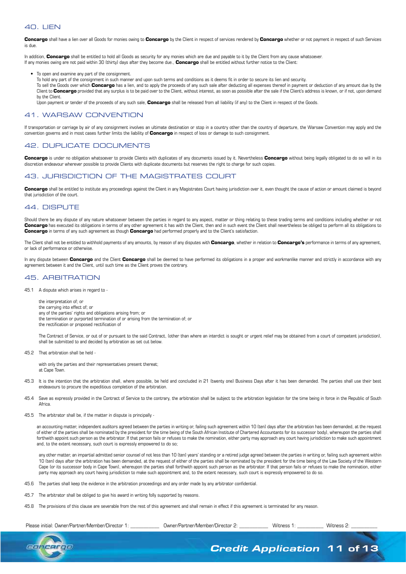### 40. LIEN

**Concargo** shall have a lien over all Goods for monies owing to **Concargo** by the Client in respect of services rendered by **Concargo** whether or not payment in respect of such Services is due.

In addition, **Concargo** shall be entitled to hold all Goods as security for any monies which are due and payable to it by the Client from any cause whatsoever. If any monies owing are not paid within 30 (thirty) days after they become due., **Concargo** shall be entitled without further notice to the Client:

• To open and examine any part of the consignment.

To hold any part of the consignment in such manner and upon such terms and conditions as it deems fit in order to secure its lien and security.

To sell the Goods over which **Concargo** has a lien, and to apply the proceeds of any such sale after deducting all expenses thereof in payment or deduction of any amount due by the Client to **Concargo** provided that any surplus is to be paid over to the Client, without interest, as soon as possible after the sale if the Client's address is known, or if not, upon demand by the Client.

Upon payment or tender of the proceeds of any such sale, **Concargo** shall be released from all liability (if any) to the Client in respect of the Goods.

#### 41. WARSAW CONVENTION

If transportation or carriage by air of any consignment involves an ultimate destination or stop in a country other than the country of departure, the Warsaw Convention may apply and the convention governs and in most cases further limits the liability of **Concargo** in respect of loss or damage to such consignment.

### 42. DUPLICATE DOCUMENTS

**Concargo** is under no obligation whatsoever to provide Clients with duplicates of any documents issued by it. Nevertheless **Concargo** without being legally obligated to do so will in its discretion endeavour wherever possible to provide Clients with duplicate documents but reserves the right to charge for such copies.

# 43. JURISDICTION OF THE MAGISTRATES COURT

Concargo shall be entitled to institute any proceedings against the Client in any Magistrates Court having jurisdiction over it, even thought the cause of action or amount claimed is beyond that jurisdiction of the court.

#### 44. DISPUTE

Should there be any dispute of any nature whatsoever between the parties in regard to any aspect, matter or thing relating to these trading terms and conditions including whether or not **Concargo** has executed its obligations in terms of any other agreement it has with the Client, then and in such event the Client shall nevertheless be obliged to perform all its obligations to **Concargo** in terms of any such agreement as though **Concargo** had performed properly and to the Client's satisfaction.

The Client shall not be entitled to withhold payments of any amounts, by reason of any disputes with **Concargo**, whether in relation to **Concargo's** performance in terms of any agreement, or lack of performance or otherwise.

In any dispute between **Concargo** and the Client *Concargo* shall be deemed to have performed its obligations in a proper and workmanlike manner and strictly in accordance with any agreement between it and the Client, until such time as the Client proves the contrary.

### 45. ARBITRATION

45.1 A dispute which arises in regard to -

the interpretation of; or the carrying into effect of; or any of the parties' rights and obligations arising from; or the termination or purported termination of or arising from the termination of; or the rectification or proposed rectification of

 The Contract of Service, or out of or pursuant to the said Contract, (other than where an interdict is sought or urgent relief may be obtained from a court of competent jurisdiction), shall be submitted to and decided by arbitration as set cut below.

45.2 That arbitration shall be held -

with only the parties and their representatives present thereat; at Cape Town.

- 45.3 It is the intention that the arbitration shall, where possible, be held and concluded in 21 (twenty one) Business Days after it has been demanded. The parties shall use their best endeavours to procure the expeditious completion of the arbitration.
- 45.4 Save as expressly provided in the Contract of Service to the contrary, the arbitration shall be subject to the arbitration legislation for the time being in force in the Republic of South Africa.
- 45.5 The arbitrator shall be, if the matter in dispute is principally -

 an accounting matter, independent auditors agreed between the parties in writing or, failing such agreement within 10 (ten) days after the arbitration has been demanded, at the request of either of the parties shall be nominated by the president for the time being of the South African Institute of Chartered Accountants for its successor body), whereupon the parties shall forthwith appoint such person as the arbitrator. If that person fails or refuses to make the nomination, either party may approach any court having jurisdiction to make such appointment and, to the extent necessary, such court is expressly empowered to do so;

any other matter, an impartial admitted senior counsel of not less than 10 (ten) years' standing or a retired judge agreed between the parties in writing or, failing such agreement within 10 (ten) days after the arbitration has been demanded, at the request of either of the parties shall be nominated by the president for the time being of the Law Society of the Western Cape (or its successor body in Cape Town), whereupon the parties shall forthwith appoint such person as the arbitrator. If that person fails or refuses to make the nomination, either party may approach any court having jurisdiction to make such appointment and, to the extent necessary, such court is expressly empowered to do so.

- 45.6 The parties shall keep the evidence in the arbitration proceedings and any order made by any arbitrator confidential.
- 45.7 The arbitrator shall be obliged to give his award in writing folly supported by reasons.
- 45.8 The provisions of this clause are severable from the rest of this agreement and shall remain in effect if this agreement is terminated for any reason.

Please initial: Owner/Partner/Member/Director 1: \_\_\_\_\_\_\_\_\_\_\_\_\_\_ Owner/Partner/Member/Director 2: \_\_\_\_\_\_\_\_\_\_\_\_ Witness 1: \_\_\_\_\_\_\_\_\_\_\_ Witness 2:



*Credit Application* 11 of 13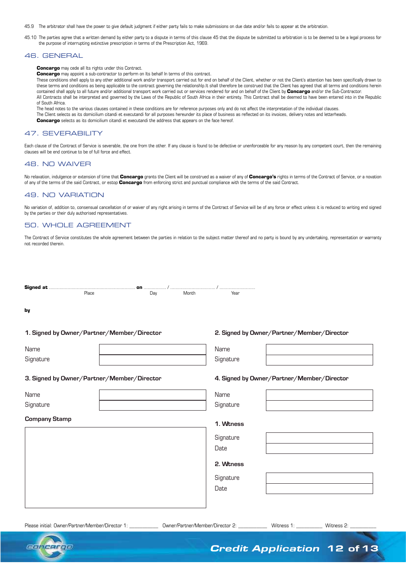45.9 The arbitrator shall have the power to give default judgment if either party fails to make submissions on due date and/or fails to appear at the arbitration.

45.10 The parties agree that a written demand by either party to a dispute in terms of this clause 45 that the dispute be submitted to arbitration is to be deemed to be a legal process for the purpose of interrupting extinctive prescription in terms of the Prescription Act, 1969.

#### 46. GENERAL

**Concargo** may cede all Its rights under this Contract.

**Concargo** may appoint a sub-contractor to perform on Its behalf In terms of this contract.

These conditions shell apply to any other additional work and/or transport carried out for end on behalf of the Client, whether or not the Client's attention has been specifically drawn to these terms and conditions as being applicable to the contract governing the relatlonshlp.lt shall therefore be construed that the Client has agreed that all terms and conditions herein contained shall apply to all future and/or additional transport work carried out or services rendered for and on behalf of the Client by **Concargo** and/or the Sub-Contractor. All Contracts shall be interpreted and governed by the Laws of the Republic of South Africa in their entirety. This Contract shall be deemed to have been entered into in the Republic of South Africa.

The head notes to the various clauses contained in these conditions are for reference purposes only and do not affect the interpretation of the individual clauses.

The Client selects as its domicilium citandi et executandi for all purposes hereunder its place of business as reflected on its invoices, delivery notes and letterheads.

**Concargo** selects as its domicilium citandi et executandi the address that appears on the face hereof.

#### 47. SEVERABILITY

Each clause of the Contract of Service is severable, the one from the other. If any clause is found to be defective or unenforceable for any reason by any competent court, then the remaining clauses will be end continue to be of full force and effect.

#### 48. N0 WAIVER

No relaxation, indulgence or extension of time that **Concargo** grants the Client will be construed as a waiver of any of **Concargo's** rights in terms of the Contract of Service, or a novation of any of the terms of the said Contract, or estop **Concargo** from enforcing strict and punctual compliance with the terms of the said Contract.

#### 49. NO VARIATION

No variation of, addition to, consensual cancellation of or waiver of any right arising in terms of the Contract of Service will be of any force or effect unless it is reduced to writing end signed by the parties or their duly authorised representatives.

#### 50. WHOLE AGREEMENT

The Contract of Service constitutes the whole agreement between the parties in relation to the subject matter thereof and no party is bound by any undertaking, representation or warranty not recorded therein.

| Place                                      | Day | Month | Year      |                                            |
|--------------------------------------------|-----|-------|-----------|--------------------------------------------|
| by                                         |     |       |           |                                            |
| 1. Signed by Owner/Partner/Member/Director |     |       |           | 2. Signed by Owner/Partner/Member/Director |
| Name                                       |     |       | Name      |                                            |
| Signature                                  |     |       | Signature |                                            |
| 3. Signed by Owner/Partner/Member/Director |     |       |           | 4. Signed by Owner/Partner/Member/Director |
| Name                                       |     |       | Name      |                                            |
| Signature                                  |     |       | Signature |                                            |
| <b>Company Stamp</b>                       |     |       | 1. Wtness |                                            |
|                                            |     |       | Signature |                                            |
|                                            |     |       | Date      |                                            |
|                                            |     |       | 2. Wtness |                                            |
|                                            |     |       | Signature |                                            |
|                                            |     |       | Date      |                                            |
|                                            |     |       |           |                                            |

Please initial: Owner/Partner/Member/Director 1: \_\_\_\_\_\_\_\_\_\_\_\_\_\_ Owner/Partner/Member/Director 2: \_\_\_\_\_\_\_\_\_\_\_\_ Witness 1: \_\_\_\_\_\_\_\_\_\_\_ Witness 2:



*Credit Application* 12 of 13